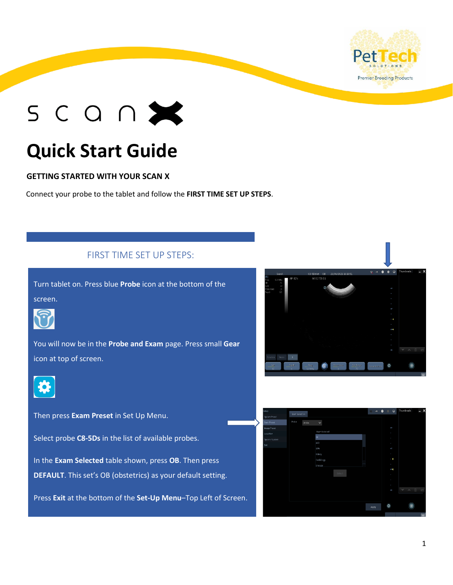

# $SCO<sub>0</sub>$

## **Quick Start Guide**

#### **GETTING STARTED WITH YOUR SCAN X**

Connect your probe to the tablet and follow the **FIRST TIME SET UP STEPS**.

#### FIRST TIME SET UP STEPS:

Turn tablet on. Press blue **Probe** icon at the bottom of the screen.



You will now be in the **Probe and Exam** page. Press small **Gear**  icon at top of screen.



Then press **Exam Preset** in Set Up Menu.

Select probe **C8-5Ds** in the list of available probes.

In the **Exam Selected** table shown, press **OB**. Then press **DEFAULT**. This set's OB (obstetrics) as your default setting.

Press **Exit** at the bottom of the **Set-Up Menu**–Top Left of Screen.



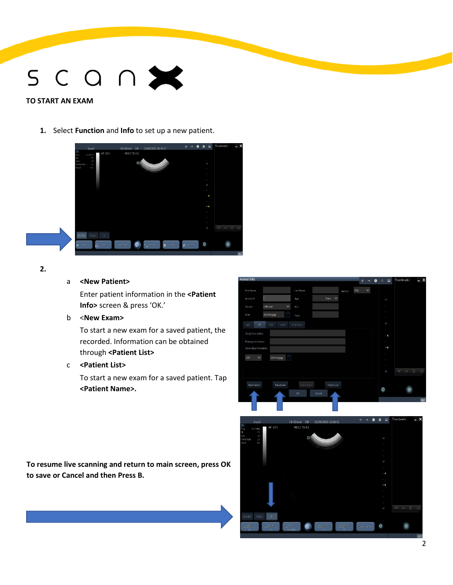# $SCO<sub>0</sub>$

#### **TO START AN EXAM**

**1.** Select **Function** and **Info** to set up a new patient.



#### **2.**

#### a **<New Patient>**

Enter patient information in the **<Patient Info>** screen & press 'OK.'

b <**New Exam>**

To start a new exam for a saved patient, the recorded. Information can be obtained through **<Patient List>**

#### c **<Patient List>**

To start a new exam for a saved patient. Tap **<Patient Name>.**

**To resume live scanning and return to main screen, press OK to save or Cancel and then Press B.**



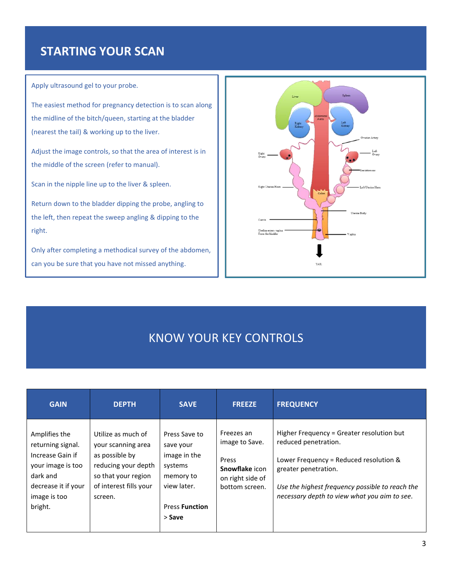### **STARTING YOUR SCAN**

Apply ultrasound gel to your probe.

The easiest method for pregnancy detection is to scan along the midline of the bitch/queen, starting at the bladder (nearest the tail) & working up to the liver.

Adjust the image controls, so that the area of interest is in the middle of the screen (refer to manual).

Scan in the nipple line up to the liver & spleen.

Return down to the bladder dipping the probe, angling to the left, then repeat the sweep angling & dipping to the right.

Only after completing a methodical survey of the abdomen, can you be sure that you have not missed anything.



### KNOW YOUR KEY CONTROLS

| <b>GAIN</b>                                                                                                                               | <b>DEPTH</b>                                                                                                                                  | <b>SAVE</b>                                                                                                          | <b>FREEZE</b>                                                                                 | <b>FREQUENCY</b>                                                                                                                                                                                                                       |
|-------------------------------------------------------------------------------------------------------------------------------------------|-----------------------------------------------------------------------------------------------------------------------------------------------|----------------------------------------------------------------------------------------------------------------------|-----------------------------------------------------------------------------------------------|----------------------------------------------------------------------------------------------------------------------------------------------------------------------------------------------------------------------------------------|
| Amplifies the<br>returning signal.<br>Increase Gain if<br>your image is too<br>dark and<br>decrease it if your<br>image is too<br>bright. | Utilize as much of<br>your scanning area<br>as possible by<br>reducing your depth<br>so that your region<br>of interest fills your<br>screen. | Press Save to<br>save your<br>image in the<br>systems<br>memory to<br>view later.<br><b>Press Function</b><br>> Save | Freezes an<br>image to Save.<br>Press<br>Snowflake icon<br>on right side of<br>bottom screen. | Higher Frequency = Greater resolution but<br>reduced penetration.<br>Lower Frequency = Reduced resolution &<br>greater penetration.<br>Use the highest frequency possible to reach the<br>necessary depth to view what you aim to see. |